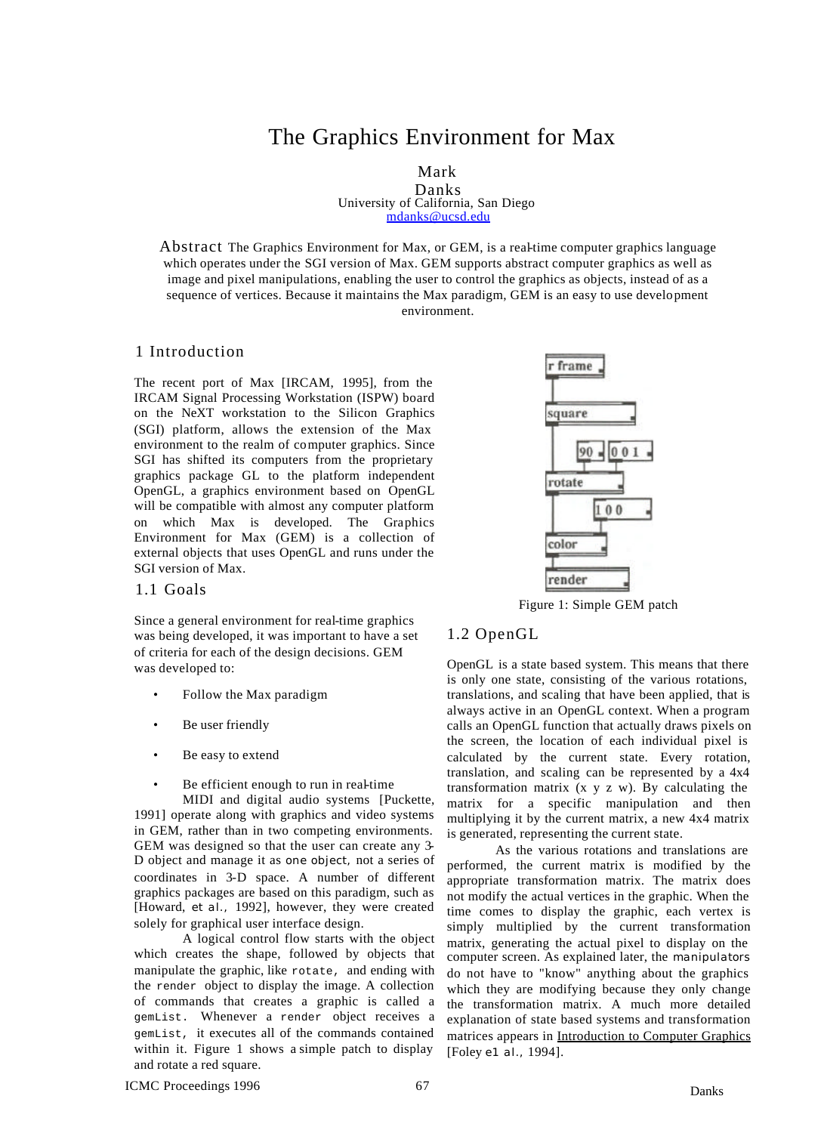# The Graphics Environment for Max

Mark

Danks University of California, San Diego mdanks@ucsd.edu

Abstract The Graphics Environment for Max, or GEM, is a real-time computer graphics language which operates under the SGI version of Max. GEM supports abstract computer graphics as well as image and pixel manipulations, enabling the user to control the graphics as objects, instead of as a sequence of vertices. Because it maintains the Max paradigm, GEM is an easy to use development environment.

### 1 Introduction

The recent port of Max [IRCAM, 1995], from the IRCAM Signal Processing Workstation (ISPW) board on the NeXT workstation to the Silicon Graphics (SGI) platform, allows the extension of the Max environment to the realm of computer graphics. Since SGI has shifted its computers from the proprietary graphics package GL to the platform independent OpenGL, a graphics environment based on OpenGL will be compatible with almost any computer platform on which Max is developed. The Graphics Environment for Max (GEM) is a collection of external objects that uses OpenGL and runs under the SGI version of Max.

1.1 Goals

Since a general environment for real-time graphics was being developed, it was important to have a set of criteria for each of the design decisions. GEM was developed to:

- Follow the Max paradigm
- Be user friendly
- Be easy to extend
- Be efficient enough to run in real-time

MIDI and digital audio systems [Puckette, 1991] operate along with graphics and video systems in GEM, rather than in two competing environments. GEM was designed so that the user can create any 3- D object and manage it as *one object,* not a series of coordinates in 3-D space. A number of different graphics packages are based on this paradigm, such as [Howard, *et al.,* 1992], however, they were created solely for graphical user interface design.

A logical control flow starts with the object which creates the shape, followed by objects that manipulate the graphic, like rotate, and ending with the render object to display the image. A collection of commands that creates a graphic is called a gemList. Whenever a render object receives a gemList, it executes all of the commands contained within it. Figure 1 shows a simple patch to display and rotate a red square.



Figure 1: Simple GEM patch

### 1.2 OpenGL

OpenGL is a state based system. This means that there is only one state, consisting of the various rotations, translations, and scaling that have been applied, that is always active in an OpenGL context. When a program calls an OpenGL function that actually draws pixels on the screen, the location of each individual pixel is calculated by the current state. Every rotation, translation, and scaling can be represented by a 4x4 transformation matrix  $(x, y, z, w)$ . By calculating the matrix for a specific manipulation and then multiplying it by the current matrix, a new 4x4 matrix is generated, representing the current state.

As the various rotations and translations are performed, the current matrix is modified by the appropriate transformation matrix. The matrix does not modify the actual vertices in the graphic. When the time comes to display the graphic, each vertex is simply multiplied by the current transformation matrix, generating the actual pixel to display on the computer screen. As explained later, the *manipulators*  do not have to "know" anything about the graphics which they are modifying because they only change the transformation matrix. A much more detailed explanation of state based systems and transformation matrices appears in Introduction to Computer Graphics [Foley *e1 al.,* 1994].

ICMC Proceedings 1996 67 Danks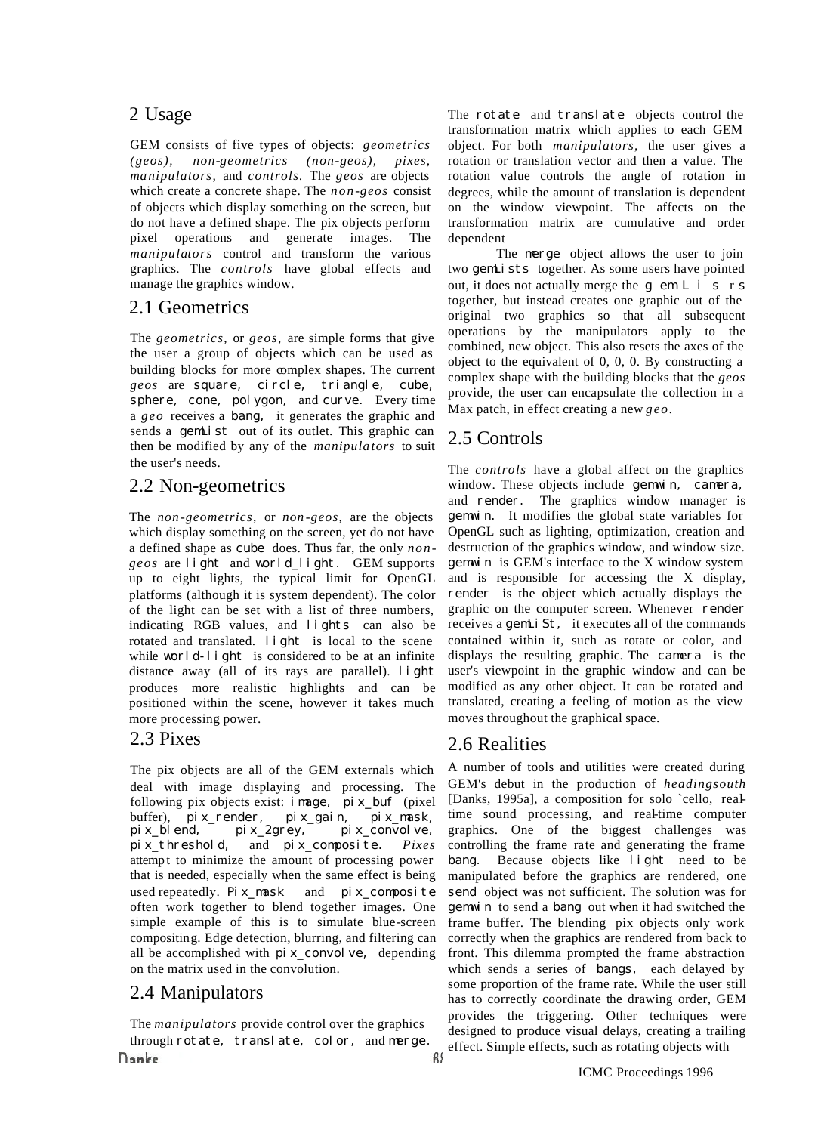## 2 Usage

GEM consists of five types of objects: *geometrics (geos), non-geometrics (non-geos), pixes, manipulators,* and *controls.* The *geos* are objects which create a concrete shape. The *non-geos* consist of objects which display something on the screen, but do not have a defined shape. The pix objects perform pixel operations and generate images. The *manipulators* control and transform the various graphics. The *controls* have global effects and manage the graphics window.

## 2.1 Geometrics

The *geometrics,* or *geos,* are simple forms that give the user a group of objects which can be used as building blocks for more complex shapes. The current *geos* are square, circle, triangle, cube, sphere, cone, polygon, and curve. Every time a *geo* receives a bang, it generates the graphic and sends a **gemList** out of its outlet. This graphic can then be modified by any of the *manipula tors* to suit the user's needs.

# 2.2 Non-geometrics

The *non -geometrics,* or *non -geos,* are the objects which display something on the screen, yet do not have a defined shape as cube does. Thus far, the only *nongeos* are light and world\_light. GEM supports up to eight lights, the typical limit for OpenGL platforms (although it is system dependent). The color of the light can be set with a list of three numbers, indicating RGB values, and lights can also be rotated and translated. **light** is local to the scene while world-light is considered to be at an infinite distance away (all of its rays are parallel). light produces more realistic highlights and can be positioned within the scene, however it takes much more processing power.

The pix objects are all of the GEM externals which deal with image displaying and processing. The following pix objects exist:  $i$  mage,  $pi x_b$ uf (pixel buffer),  $pi x_r$ ender,  $pi x_g$ ai n,  $pi x_m$ ask, buffer),  $pi x$ -render,  $pi x$ <br>pix\_blend,  $pi x$ -2grey,  $pi x_1$ convolve, pix\_threshold, and pix\_composite. *Pixes*  attemp t to minimize the amount of processing power that is needed, especially when the same effect is being used repeatedly. Pix mask and  $pix$  composite often work together to blend together images. One simple example of this is to simulate blue-screen compositing. Edge detection, blurring, and filtering can all be accomplished with  $pi x_{convol}$  ve, depending on the matrix used in the convolution.

## 2.4 Manipulators

The *manipulators* provide control over the graphics through rotate, translate, color, and merge. Donke

The rotate and translate objects control the transformation matrix which applies to each GEM object. For both *manipulators,* the user gives a rotation or translation vector and then a value. The rotation value controls the angle of rotation in degrees, while the amount of translation is dependent on the window viewpoint. The affects on the transformation matrix are cumulative and order dependent

The merge object allows the user to join two gemLists together. As some users have pointed out, it does not actually merge the g em L i s r s together, but instead creates one graphic out of the original two graphics so that all subsequent operations by the manipulators apply to the combined, new object. This also resets the axes of the object to the equivalent of 0, 0, 0. By constructing a complex shape with the building blocks that the *geos*  provide, the user can encapsulate the collection in a Max patch, in effect creating a new *geo.*

# 2.5 Controls

The *controls* have a global affect on the graphics window. These objects include genwin, camera, and render. The graphics window manager is gemwin. It modifies the global state variables for OpenGL such as lighting, optimization, creation and destruction of the graphics window, and window size. gemwin is GEM's interface to the X window system and is responsible for accessing the X display, render is the object which actually displays the graphic on the computer screen. Whenever render receives a **gemLi St**, it executes all of the commands contained within it, such as rotate or color, and displays the resulting graphic. The camera is the user's viewpoint in the graphic window and can be modified as any other object. It can be rotated and translated, creating a feeling of motion as the view moves throughout the graphical space.

# 2.3 Pixes 2.6 Realities

A number of tools and utilities were created during GEM's debut in the production of *headingsouth*  [Danks, 1995a], a composition for solo `cello, realtime sound processing, and real-time computer graphics. One of the biggest challenges was controlling the frame rate and generating the frame bang. Because objects like light need to be manipulated before the graphics are rendered, one send object was not sufficient. The solution was for gemwin to send a bang out when it had switched the frame buffer. The blending pix objects only work correctly when the graphics are rendered from back to front. This dilemma prompted the frame abstraction which sends a series of bangs, each delayed by some proportion of the frame rate. While the user still has to correctly coordinate the drawing order, GEM provides the triggering. Other techniques were designed to produce visual delays, creating a trailing effect. Simple effects, such as rotating objects with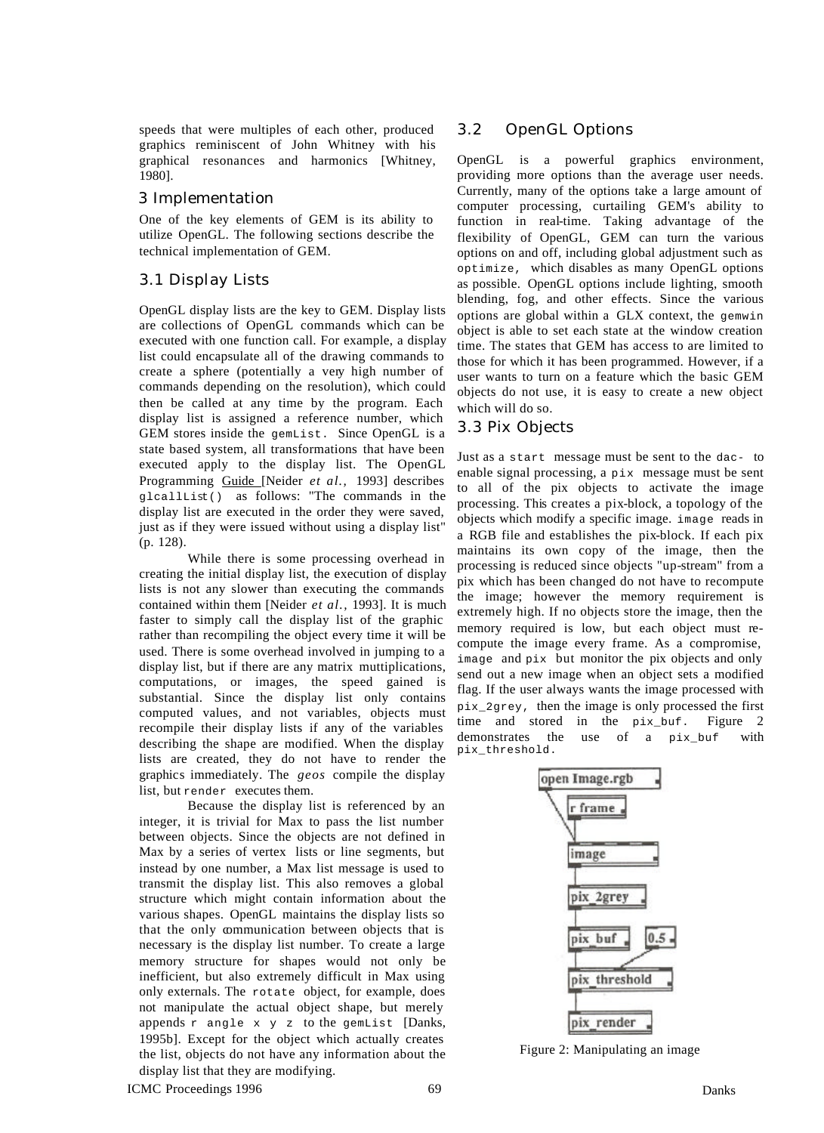speeds that were multiples of each other, produced graphics reminiscent of John Whitney with his graphical resonances and harmonics [Whitney, 1980].

### 3 Implementation

One of the key elements of GEM is its ability to utilize OpenGL. The following sections describe the technical implementation of GEM.

### 3.1 Display Lists

OpenGL display lists are the key to GEM. Display lists are collections of OpenGL commands which can be executed with one function call. For example, a display list could encapsulate all of the drawing commands to create a sphere (potentially a very high number of commands depending on the resolution), which could then be called at any time by the program. Each display list is assigned a reference number, which GEM stores inside the gemList. Since OpenGL is a state based system, all transformations that have been executed apply to the display list. The OpenGL Programming Guide [Neider *et al.,* 1993] describes  $q$ lcallList() as follows: "The commands in the display list are executed in the order they were saved, just as if they were issued without using a display list" (p. 128).

While there is some processing overhead in creating the initial display list, the execution of display lists is not any slower than executing the commands contained within them [Neider *et al.,* 1993]. It is much faster to simply call the display list of the graphic rather than recompiling the object every time it will be used. There is some overhead involved in jumping to a display list, but if there are any matrix muttiplications, computations, or images, the speed gained is substantial. Since the display list only contains computed values, and not variables, objects must recompile their display lists if any of the variables describing the shape are modified. When the display lists are created, they do not have to render the graphics immediately. The *geos* compile the display list, but render executes them.

Because the display list is referenced by an integer, it is trivial for Max to pass the list number between objects. Since the objects are not defined in Max by a series of vertex lists or line segments, but instead by one number, a Max list message is used to transmit the display list. This also removes a global structure which might contain information about the various shapes. OpenGL maintains the display lists so that the only communication between objects that is necessary is the display list number. To create a large memory structure for shapes would not only be inefficient, but also extremely difficult in Max using only externals. The rotate object, for example, does not manipulate the actual object shape, but merely appends  $r$  angle  $x \ y \ z$  to the gemList [Danks, 1995b]. Except for the object which actually creates the list, objects do not have any information about the display list that they are modifying.

### 3.2 OpenGL Options

OpenGL is a powerful graphics environment, providing more options than the average user needs. Currently, many of the options take a large amount of computer processing, curtailing GEM's ability to function in real-time. Taking advantage of the flexibility of OpenGL, GEM can turn the various options on and off, including global adjustment such as optimize, which disables as many OpenGL options as possible. OpenGL options include lighting, smooth blending, fog, and other effects. Since the various options are global within a GLX context, the gemwin object is able to set each state at the window creation time. The states that GEM has access to are limited to those for which it has been programmed. However, if a user wants to turn on a feature which the basic GEM objects do not use, it is easy to create a new object which will do so.

### 3.3 Pix Objects

Just as a start message must be sent to the dac- to enable signal processing, a pix message must be sent to all of the pix objects to activate the image processing. This creates a pix-block, a topology of the objects which modify a specific image. image reads in a RGB file and establishes the pix-block. If each pix maintains its own copy of the image, then the processing is reduced since objects "up-stream" from a pix which has been changed do not have to recompute the image; however the memory requirement is extremely high. If no objects store the image, then the memory required is low, but each object must recompute the image every frame. As a compromise, image and pix but monitor the pix objects and only send out a new image when an object sets a modified flag. If the user always wants the image processed with pix\_2grey, then the image is only processed the first time and stored in the  $pix$  buf. Figure 2 demonstrates the use of a pix buf with pix\_threshold.



Figure 2: Manipulating an image

ICMC Proceedings 1996 69 and 1996 69 Danks